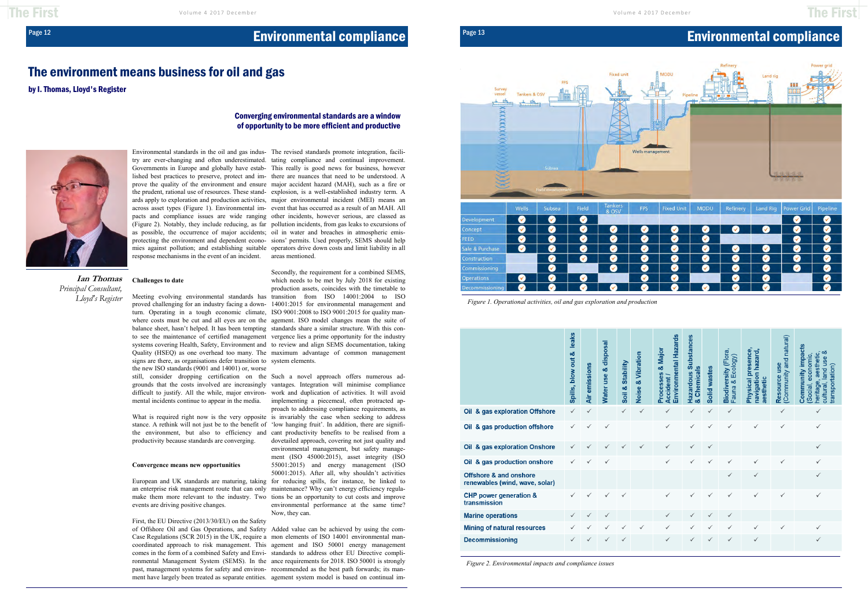## Page 12 **Environmental compliance**

### The environment means business for oil and gas

by I. Thomas, Lloyd's Register

### **Challenges to date**

Environmental standards in the oil and gas indus-The revised standards promote integration, faciliresponse mechanisms in the event of an incident. areas mentioned.

try are ever-changing and often underestimated. tating compliance and continual improvement. Governments in Europe and globally have estab-This really is good news for business, however lished best practices to preserve, protect and im-there are nuances that need to be understood. A prove the quality of the environment and ensure major accident hazard (MAH), such as a fire or the prudent, rational use of resources. These stand-explosion, is a well-established industry term. A ards apply to exploration and production activities, major environmental incident (MEI) means an across asset types (Figure 1). Environmental im-event that has occurred as a result of an MAH. All pacts and compliance issues are wide ranging other incidents, however serious, are classed as (Figure 2). Notably, they include reducing, as far pollution incidents, from gas leaks to excursions of as possible, the occurrence of major accidents; oil in water and breaches in atmospheric emisprotecting the environment and dependent econo-sions' permits. Used properly, SEMS should help mies against pollution; and establishing suitable operators drive down costs and limit liability in all

stance. A rethink will not just be to the benefit of 'low hanging fruit'. In addition, there are signifiproductivity because standards are converging.

### **Convergence means new opportunities**

European and UK standards are maturing, taking for reducing spills, for instance, be linked to an enterprise risk management route that can only maintenance? Why can't energy efficiency regulamake them more relevant to the industry. Two tions be an opportunity to cut costs and improve events are driving positive changes.

First, the EU Directive (2013/30/EU) on the Safety

Meeting evolving environmental standards has transition from ISO 14001:2004 to ISO proved challenging for an industry facing a down-14001:2015 for environmental management and turn. Operating in a tough economic climate, ISO 9001:2008 to ISO 9001:2015 for quality manwhere costs must be cut and all eyes are on the agement. ISO model changes mean the suite of balance sheet, hasn't helped. It has been tempting standards share a similar structure. With this conto see the maintenance of certified management vergence lies a prime opportunity for the industry systems covering Health, Safety, Environment and to review and align SEMS documentation, taking Quality (HSEQ) as one overhead too many. The maximum advantage of common management Secondly, the requirement for a combined SEMS, which needs to be met by July 2018 for existing production assets, coincides with the timetable to

signs are there, as organisations defer transition to system elements. the new ISO standards (9001 and 14001) or, worse still, consider dropping certification on the Such a novel approach offers numerous ad-

grounds that the costs involved are increasingly vantages. Integration will minimise compliance difficult to justify. All the while, major environ-work and duplication of activities. It will avoid mental incidents continue to appear in the media. implementing a piecemeal, often protracted ap-What is required right now is the very opposite is invariably the case when seeking to address the environment, but also to efficiency and cant productivity benefits to be realised from a proach to addressing compliance requirements, as dovetailed approach, covering not just quality and environmental management, but safety management (ISO 45000:2015), asset integrity (ISO 55001:2015) and energy management (ISO 50001:2015). After all, why shouldn't activities environmental performance at the same time? Now, they can.

of Offshore Oil and Gas Operations, and Safety Added value can be achieved by using the com-Case Regulations (SCR 2015) in the UK, require a mon elements of ISO 14001 environmental mancoordinated approach to risk management. This agement and ISO 50001 energy management comes in the form of a combined Safety and Envi-standards to address other EU Directive complironmental Management System (SEMS). In the ance requirements for 2018. ISO 50001 is strongly past, management systems for safety and environ-recommended as the best path forwards; its manment have largely been treated as separate entities. agement system model is based on continual im-

**Ian Thomas** *Principal Consultant, Lloyd's Register*

### Converging environmental standards are a window of opportunity to be more efficient and productive



*Figure 2. Environmental impacts and compliance issues* 

## Page 13 **Environmental compliance**

| <b>Fixed Unit</b> | <b>MODU</b> | Refinery | <b>Land Rig</b> | <b>Power Grid</b> | Pipeline |
|-------------------|-------------|----------|-----------------|-------------------|----------|
|                   |             |          |                 |                   |          |
|                   |             |          | ✓               |                   |          |
|                   |             |          |                 | ᢦ                 |          |
|                   |             | ✓        | v.              |                   |          |
| ✓                 |             |          | ✓               |                   |          |
|                   |             | ✓        | ✓               |                   |          |
| $\checkmark$      |             |          | ✓               |                   |          |
|                   |             |          |                 |                   |          |



*Figure 1. Operational activities, oil and gas exploration and production* 

|                                                                     | leaks<br>Spills, blow out & | <b>Air emissions</b> | <b>Nater use &amp; disposal</b> | Soil & Stability | & Vibration<br>Noise | Environmental Hazards<br>Major<br>ස්<br>Processes<br>Accident / | ubstances<br>ທ<br><b>Chemicals</b><br>Hazardous | Solid wastes | <b>Biodiversity (Flora</b><br>Ecology)<br>Fauna & | Physical presence<br>navigation hazard,<br>aesthetic | Community and natural)<br>Resource use | Community impacts<br>య<br>aesthetic,<br>economic,<br>$\omega$<br>and us<br>transportation)<br>heritage,<br>cultural,<br>Social, |
|---------------------------------------------------------------------|-----------------------------|----------------------|---------------------------------|------------------|----------------------|-----------------------------------------------------------------|-------------------------------------------------|--------------|---------------------------------------------------|------------------------------------------------------|----------------------------------------|---------------------------------------------------------------------------------------------------------------------------------|
| & gas exploration Offshore<br>Oil                                   | $\checkmark$                | $\checkmark$         |                                 | $\checkmark$     | √                    | ✓                                                               | √                                               | $\checkmark$ | $\checkmark$                                      |                                                      | ✓                                      | √                                                                                                                               |
| & gas production offshore<br>Oil                                    | ✓                           | ✓                    | $\checkmark$                    |                  |                      | ✓                                                               | √                                               | $\checkmark$ | √                                                 | $\checkmark$                                         | ✓                                      | $\checkmark$                                                                                                                    |
| & gas exploration Onshore<br>Oil                                    | ✓                           |                      |                                 |                  | $\checkmark$         | ✓                                                               | √                                               | ✓            |                                                   |                                                      |                                        | $\checkmark$                                                                                                                    |
| & gas production onshore<br>Oil                                     | ✓                           | ✓                    | ✓                               |                  |                      | ✓                                                               | ✓                                               | $\checkmark$ | √                                                 | ✓                                                    | ✓                                      | ✓                                                                                                                               |
| <b>Offshore &amp; and onshore</b><br>renewables (wind, wave, solar) |                             |                      |                                 |                  |                      |                                                                 |                                                 |              | √                                                 | $\checkmark$                                         |                                        | ✓                                                                                                                               |
| <b>CHP</b> power generation &<br>transmission                       | ✓                           |                      | ✓                               | ✓                |                      | ✓                                                               | √                                               |              | √                                                 | $\checkmark$                                         | ✓                                      | $\checkmark$                                                                                                                    |
| <b>Marine operations</b>                                            | ✓                           |                      | ✓                               |                  |                      | ✓                                                               |                                                 | ✓            | √                                                 |                                                      |                                        |                                                                                                                                 |
| <b>Mining of natural resources</b>                                  | ✓                           |                      | ✓                               | $\checkmark$     | √                    | ✓                                                               | ✓                                               | ✓            | √                                                 | $\checkmark$                                         | ✓                                      | $\checkmark$                                                                                                                    |
| <b>Decommissioning</b>                                              | ✓                           |                      | ✓                               | √                |                      | √                                                               | √                                               |              | √                                                 | ✓                                                    |                                        | ✓                                                                                                                               |